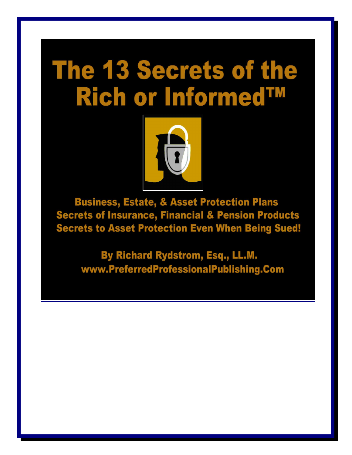# **The 13 Secrets of the Rich or Informed™**



**Business, Estate, & Asset Protection Plans Secrets of Insurance, Financial & Pension Products Secrets to Asset Protection Even When Being Sued!** 

By Richard Rydstrom, Esq., LL.M. www.PreferredProfessionalPublishing.Com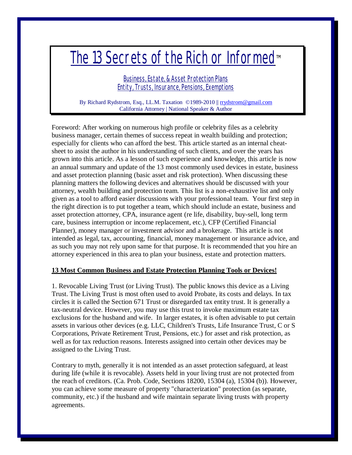## The 13 Secrets of the Rich or Informed™

Business, Estate, & Asset Protection Plans Entity, Trusts, Insurance, Pensions, Exemptions

By Richard Rydstrom, Esq., LL.M. Taxation ©1989-2010 || [rrydstrom@gmail.com](mailto:rrydstrom@gmail.com) California Attorney | National Speaker & Author

Foreword: After working on numerous high profile or celebrity files as a celebrity business manager, certain themes of success repeat in wealth building and protection; especially for clients who can afford the best. This article started as an internal cheatsheet to assist the author in his understanding of such clients, and over the years has grown into this article. As a lesson of such experience and knowledge, this article is now an annual summary and update of the 13 most commonly used devices in estate, business and asset protection planning (basic asset and risk protection). When discussing these planning matters the following devices and alternatives should be discussed with your attorney, wealth building and protection team. This list is a non-exhaustive list and only given as a tool to afford easier discussions with your professional team. Your first step in the right direction is to put together a team, which should include an estate, business and asset protection attorney, CPA, insurance agent (re life, disability, buy-sell, long term care, business interruption or income replacement, etc.), CFP (Certified Financial Planner), money manager or investment advisor and a brokerage. This article is not intended as legal, tax, accounting, financial, money management or insurance advice, and as such you may not rely upon same for that purpose. It is recommended that you hire an attorney experienced in this area to plan your business, estate and protection matters.

#### **13 Most Common Business and Estate Protection Planning Tools or Devices!**

1. Revocable Living Trust (or Living Trust). The public knows this device as a Living Trust. The Living Trust is most often used to avoid Probate, its costs and delays. In tax circles it is called the Section 671 Trust or disregarded tax entity trust. It is generally a tax-neutral device. However, you may use this trust to invoke maximum estate tax exclusions for the husband and wife. In larger estates, it is often advisable to put certain assets in various other devices (e.g. LLC, Children's Trusts, Life Insurance Trust, C or S Corporations, Private Retirement Trust, Pensions, etc.) for asset and risk protection, as well as for tax reduction reasons. Interests assigned into certain other devices may be assigned to the Living Trust.

Contrary to myth, generally it is not intended as an asset protection safeguard, at least during life (while it is revocable). Assets held in your living trust are not protected from the reach of creditors. (Ca. Prob. Code, Sections 18200, 15304 (a), 15304 (b)). However, you can achieve some measure of property "characterization" protection (as separate, community, etc.) if the husband and wife maintain separate living trusts with property agreements.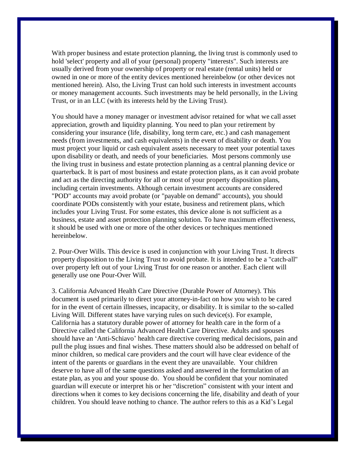With proper business and estate protection planning, the living trust is commonly used to hold 'select' property and all of your (personal) property "interests". Such interests are usually derived from your ownership of property or real estate (rental units) held or owned in one or more of the entity devices mentioned hereinbelow (or other devices not mentioned herein). Also, the Living Trust can hold such interests in investment accounts or money management accounts. Such investments may be held personally, in the Living Trust, or in an LLC (with its interests held by the Living Trust).

You should have a money manager or investment advisor retained for what we call asset appreciation, growth and liquidity planning. You need to plan your retirement by considering your insurance (life, disability, long term care, etc.) and cash management needs (from investments, and cash equivalents) in the event of disability or death. You must project your liquid or cash equivalent assets necessary to meet your potential taxes upon disability or death, and needs of your beneficiaries. Most persons commonly use the living trust in business and estate protection planning as a central planning device or quarterback. It is part of most business and estate protection plans, as it can avoid probate and act as the directing authority for all or most of your property disposition plans, including certain investments. Although certain investment accounts are considered "POD" accounts may avoid probate (or "payable on demand" accounts), you should coordinate PODs consistently with your estate, business and retirement plans, which includes your Living Trust. For some estates, this device alone is not sufficient as a business, estate and asset protection planning solution. To have maximum effectiveness, it should be used with one or more of the other devices or techniques mentioned hereinbelow.

2. Pour-Over Wills. This device is used in conjunction with your Living Trust. It directs property disposition to the Living Trust to avoid probate. It is intended to be a "catch-all" over property left out of your Living Trust for one reason or another. Each client will generally use one Pour-Over Will.

3. California Advanced Health Care Directive (Durable Power of Attorney). This document is used primarily to direct your attorney-in-fact on how you wish to be cared for in the event of certain illnesses, incapacity, or disability. It is similar to the so-called Living Will. Different states have varying rules on such device(s). For example, California has a statutory durable power of attorney for health care in the form of a Directive called the California Advanced Health Care Directive. Adults and spouses should have an 'Anti-Schiavo' health care directive covering medical decisions, pain and pull the plug issues and final wishes. These matters should also be addressed on behalf of minor children, so medical care providers and the court will have clear evidence of the intent of the parents or guardians in the event they are unavailable. Your children deserve to have all of the same questions asked and answered in the formulation of an estate plan, as you and your spouse do. You should be confident that your nominated guardian will execute or interpret his or her "discretion" consistent with your intent and directions when it comes to key decisions concerning the life, disability and death of your children. You should leave nothing to chance. The author refers to this as a Kid's Legal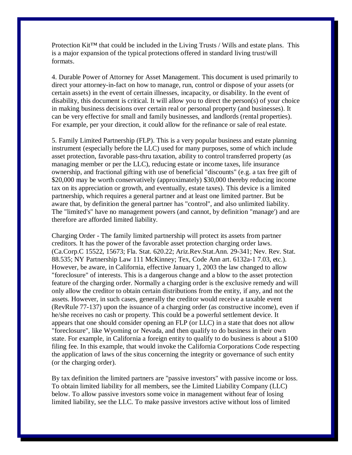Protection Kit<sup> $TM$ </sup> that could be included in the Living Trusts / Wills and estate plans. This is a major expansion of the typical protections offered in standard living trust/will formats.

4. Durable Power of Attorney for Asset Management. This document is used primarily to direct your attorney-in-fact on how to manage, run, control or dispose of your assets (or certain assets) in the event of certain illnesses, incapacity, or disability. In the event of disability, this document is critical. It will allow you to direct the person(s) of your choice in making business decisions over certain real or personal property (and businesses). It can be very effective for small and family businesses, and landlords (rental properties). For example, per your direction, it could allow for the refinance or sale of real estate.

5. Family Limited Partnership (FLP). This is a very popular business and estate planning instrument (especially before the LLC) used for many purposes, some of which include asset protection, favorable pass-thru taxation, ability to control transferred property (as managing member or per the LLC), reducing estate or income taxes, life insurance ownership, and fractional gifting with use of beneficial "discounts" (e.g. a tax free gift of \$20,000 may be worth conservatively (approximately) \$30,000 thereby reducing income tax on its appreciation or growth, and eventually, estate taxes). This device is a limited partnership, which requires a general partner and at least one limited partner. But be aware that, by definition the general partner has "control", and also unlimited liability. The "limited's" have no management powers (and cannot, by definition "manage') and are therefore are afforded limited liability.

Charging Order - The family limited partnership will protect its assets from partner creditors. It has the power of the favorable asset protection charging order laws. (Ca.Corp.C 15522, 15673; Fla. Stat. 620.22; Ariz.Rev.Stat.Ann. 29-341; Nev. Rev. Stat. 88.535; NY Partnership Law 111 McKinney; Tex, Code Ann art. 6132a-1 7.03, etc.). However, be aware, in California, effective January 1, 2003 the law changed to allow "foreclosure" of interests. This is a dangerous change and a blow to the asset protection feature of the charging order. Normally a charging order is the exclusive remedy and will only allow the creditor to obtain certain distributions from the entity, if any, and not the assets. However, in such cases, generally the creditor would receive a taxable event (RevRule 77-137) upon the issuance of a charging order (as constructive income), even if he/she receives no cash or property. This could be a powerful settlement device. It appears that one should consider opening an FLP (or LLC) in a state that does not allow "foreclosure", like Wyoming or Nevada, and then qualify to do business in their own state. For example, in California a foreign entity to qualify to do business is about a \$100 filing fee. In this example, that would invoke the California Corporations Code respecting the application of laws of the situs concerning the integrity or governance of such entity (or the charging order).

By tax definition the limited partners are "passive investors" with passive income or loss. To obtain limited liability for all members, see the Limited Liability Company (LLC) below. To allow passive investors some voice in management without fear of losing limited liability, see the LLC. To make passive investors active without loss of limited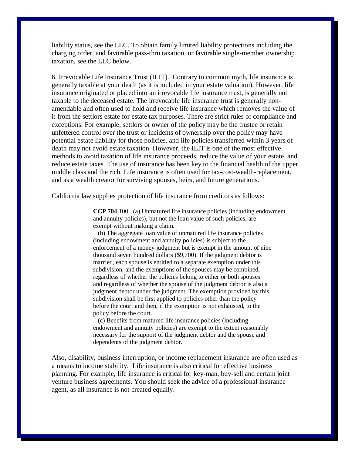liability status, see the LLC. To obtain family limited liability protections including the charging order, and favorable pass-thru taxation, or favorable single-member ownership taxation, see the LLC below.

6. Irrevocable Life Insurance Trust (ILIT). Contrary to common myth, life insurance is generally taxable at your death (as it is included in your estate valuation). However, life insurance originated or placed into an irrevocable life insurance trust, is generally not taxable to the deceased estate. The irrevocable life insurance trust is generally nonamendable and often used to hold and receive life insurance which removes the value of it from the settlors estate for estate tax purposes. There are strict rules of compliance and exceptions. For example, settlors or owner of the policy may be the trustee or retain unfettered control over the trust or incidents of ownership over the policy may have potential estate liability for those policies, and life policies transferred within 3 years of death may not avoid estate taxation. However, the ILIT is one of the most effective methods to avoid taxation of life insurance proceeds, reduce the value of your estate, and reduce estate taxes. The use of insurance has been key to the financial health of the upper middle class and the rich. Life insurance is often used for tax-cost-wealth-replacement, and as a wealth creator for surviving spouses, heirs, and future generations.

California law supplies protection of life insurance from creditors as follows:

**CCP 704**.100. (a) Unmatured life insurance policies (including endowment and annuity policies), but not the loan value of such policies, are exempt without making a claim.

 (b) The aggregate loan value of unmatured life insurance policies (including endowment and annuity policies) is subject to the enforcement of a money judgment but is exempt in the amount of nine thousand seven hundred dollars (\$9,700). If the judgment debtor is married, each spouse is entitled to a separate exemption under this subdivision, and the exemptions of the spouses may be combined, regardless of whether the policies belong to either or both spouses and regardless of whether the spouse of the judgment debtor is also a judgment debtor under the judgment. The exemption provided by this subdivision shall be first applied to policies other than the policy before the court and then, if the exemption is not exhausted, to the policy before the court.

 (c) Benefits from matured life insurance policies (including endowment and annuity policies) are exempt to the extent reasonably necessary for the support of the judgment debtor and the spouse and dependents of the judgment debtor.

Also, disability, business interruption, or income replacement insurance are often used as a means to income stability. Life insurance is also critical for effective business planning. For example, life insurance is critical for key-man, buy-sell and certain joint venture business agreements. You should seek the advice of a professional insurance agent, as all insurance is not created equally.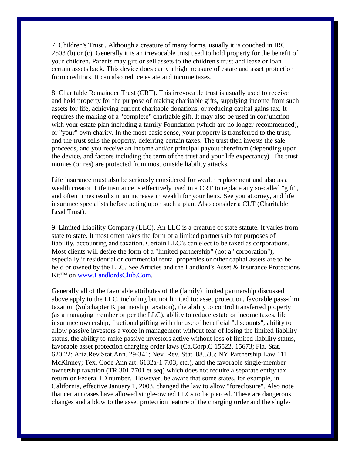7. Children's Trust . Although a creature of many forms, usually it is couched in IRC 2503 (b) or (c). Generally it is an irrevocable trust used to hold property for the benefit of your children. Parents may gift or sell assets to the children's trust and lease or loan certain assets back. This device does carry a high measure of estate and asset protection from creditors. It can also reduce estate and income taxes.

8. Charitable Remainder Trust (CRT). This irrevocable trust is usually used to receive and hold property for the purpose of making charitable gifts, supplying income from such assets for life, achieving current charitable donations, or reducing capital gains tax. It requires the making of a "complete" charitable gift. It may also be used in conjunction with your estate plan including a family Foundation (which are no longer recommended), or "your" own charity. In the most basic sense, your property is transferred to the trust, and the trust sells the property, deferring certain taxes. The trust then invests the sale proceeds, and you receive an income and/or principal payout therefrom (depending upon the device, and factors including the term of the trust and your life expectancy). The trust monies (or res) are protected from most outside liability attacks.

Life insurance must also be seriously considered for wealth replacement and also as a wealth creator. Life insurance is effectively used in a CRT to replace any so-called "gift", and often times results in an increase in wealth for your heirs. See you attorney, and life insurance specialists before acting upon such a plan. Also consider a CLT (Charitable Lead Trust).

9. Limited Liability Company (LLC). An LLC is a creature of state statute. It varies from state to state. It most often takes the form of a limited partnership for purposes of liability, accounting and taxation. Certain LLC's can elect to be taxed as corporations. Most clients will desire the form of a "limited partnership" (not a "corporation"), especially if residential or commercial rental properties or other capital assets are to be held or owned by the LLC. See Articles and the Landlord's Asset & Insurance Protections Kit<sup>™</sup> on [www.LandlordsClub.Com.](http://www.LandlordsClub.Com)

Generally all of the favorable attributes of the (family) limited partnership discussed above apply to the LLC, including but not limited to: asset protection, favorable pass-thru taxation (Subchapter K partnership taxation), the ability to control transferred property (as a managing member or per the LLC), ability to reduce estate or income taxes, life insurance ownership, fractional gifting with the use of beneficial "discounts", ability to allow passive investors a voice in management without fear of losing the limited liability status, the ability to make passive investors active without loss of limited liability status, favorable asset protection charging order laws (Ca.Corp.C 15522, 15673; Fla. Stat. 620.22; Ariz.Rev.Stat.Ann. 29-341; Nev. Rev. Stat. 88.535; NY Partnership Law 111 McKinney; Tex, Code Ann art. 6132a-1 7.03, etc.), and the favorable single-member ownership taxation (TR 301.7701 et seq) which does not require a separate entity tax return or Federal ID number. However, be aware that some states, for example, in California, effective January 1, 2003, changed the law to allow "foreclosure". Also note that certain cases have allowed single-owned LLCs to be pierced. These are dangerous changes and a blow to the asset protection feature of the charging order and the single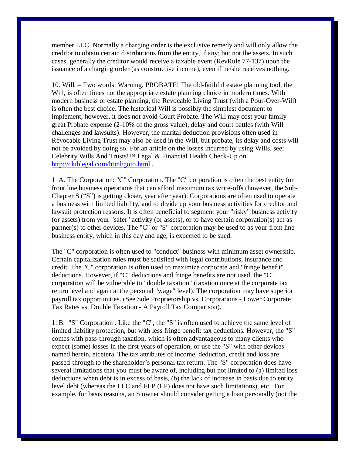member LLC. Normally a charging order is the exclusive remedy and will only allow the creditor to obtain certain distributions from the entity, if any; but not the assets. In such cases, generally the creditor would receive a taxable event (RevRule 77-137) upon the issuance of a charging order (as constructive income), even if he/she receives nothing.

10. Will. - Two words: Warning, PROBATE! The old-faithful estate planning tool, the Will, is often times not the appropriate estate planning choice in modern times. With modern business or estate planning, the Revocable Living Trust (with a Pour-Over-Will) is often the best choice. The historical Will is possibly the simplest document to implement, however, it does not avoid Court Probate. The Will may cost your family great Probate expense (2-10% of the gross value), delay and court battles (with Will challenges and lawsuits). However, the marital deduction provisions often used in Revocable Living Trust may also be used in the Will, but probate, its delay and costs will not be avoided by doing so. For an article on the losses incurred by using Wills, see: Celebrity Wills And Trusts!<sup>™</sup> Legal & Financial Health Check-Up on <http://clublegal.com/html/goto.html>.

11A. The Corporation: "C" Corporation. The "C" corporation is often the best entity for front line business operations that can afford maximum tax write-offs (however, the Sub-Chapter  $S$  ("S") is getting closer, year after year). Corporations are often used to operate a business with limited liability, and to divide up your business activities for creditor and lawsuit protection reasons. It is often beneficial to segment your "risky" business activity (or assets) from your "safer" activity (or assets), or to have certain corporation(s) act as partner(s) to other devices. The "C" or "S" corporation may be used to as your front line business entity, which in this day and age, is expected to be sued.

The "C" corporation is often used to "conduct" business with minimum asset ownership. Certain capitalization rules must be satisfied with legal contributions, insurance and credit. The "C" corporation is often used to maximize corporate and "fringe benefit" deductions. However, if "C" deductions and fringe benefits are not used, the "C" corporation will be vulnerable to "double taxation" (taxation once at the corporate tax return level and again at the personal "wage" level). The corporation may have superior payroll tax opportunities. (See Sole Proprietorship vs. Corporations - Lower Corporate Tax Rates vs. Double Taxation - A Payroll Tax Comparison).

11B. "S" Corporation . Like the "C", the "S" is often used to achieve the same level of limited liability protection, but with less fringe benefit tax deductions. However, the "S" comes with pass-through taxation, which is often advantageous to many clients who expect (some) losses in the first years of operation, or use the "S" with other devices named herein, etcetera. The tax attributes of income, deduction, credit and loss are passed-through to the shareholder's personal tax return. The "S" corporation does have several limitations that you must be aware of, including but not limited to (a) limited loss deductions when debt is in excess of basis, (b) the lack of increase in basis due to entity level debt (whereas the LLC and FLP (LP) does not have such limitations), etc. For example, for basis reasons, an S owner should consider getting a loan personally (not the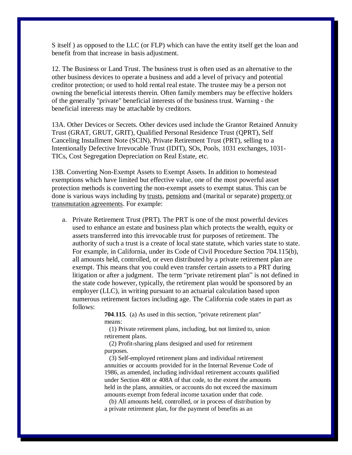S itself ) as opposed to the LLC (or FLP) which can have the entity itself get the loan and benefit from that increase in basis adjustment.

12. The Business or Land Trust. The business trust is often used as an alternative to the other business devices to operate a business and add a level of privacy and potential creditor protection; or used to hold rental real estate. The trustee may be a person not owning the beneficial interests therein. Often family members may be effective holders of the generally "private" beneficial interests of the business trust. Warning - the beneficial interests may be attachable by creditors.

13A. Other Devices or Secrets. Other devices used include the Grantor Retained Annuity Trust (GRAT, GRUT, GRIT), Qualified Personal Residence Trust (QPRT), Self Canceling Installment Note (SCIN), Private Retirement Trust (PRT), selling to a Intentionally Defective Irrevocable Trust (IDIT), SOs, Pools, 1031 exchanges, 1031- TICs, Cost Segregation Depreciation on Real Estate, etc.

13B. Converting Non-Exempt Assets to Exempt Assets. In addition to homestead exemptions which have limited but effective value, one of the most powerful asset protection methods is converting the non-exempt assets to exempt status. This can be done is various ways including by trusts, pensions and (marital or separate) property or transmutation agreements. For example:

a. Private Retirement Trust (PRT). The PRT is one of the most powerful devices used to enhance an estate and business plan which protects the wealth, equity or assets transferred into this irrevocable trust for purposes of retirement. The authority of such a trust is a create of local state statute, which varies state to state. For example, in California, under its Code of Civil Procedure Section 704.115(b), all amounts held, controlled, or even distributed by a private retirement plan are exempt. This means that you could even transfer certain assets to a PRT during litigation or after a judgment. The term "private retirement plan" is not defined in the state code however, typically, the retirement plan would be sponsored by an employer (LLC), in writing pursuant to an actuarial calculation based upon numerous retirement factors including age. The California code states in part as follows:

> **704**.**115**. (a) As used in this section, "private retirement plan" means:

 (1) Private retirement plans, including, but not limited to, union retirement plans.

 (2) Profit-sharing plans designed and used for retirement purposes.

 (3) Self-employed retirement plans and individual retirement annuities or accounts provided for in the Internal Revenue Code of 1986, as amended, including individual retirement accounts qualified under Section 408 or 408A of that code, to the extent the amounts held in the plans, annuities, or accounts do not exceed the maximum amounts exempt from federal income taxation under that code.

 (b) All amounts held, controlled, or in process of distribution by a private retirement plan, for the payment of benefits as an